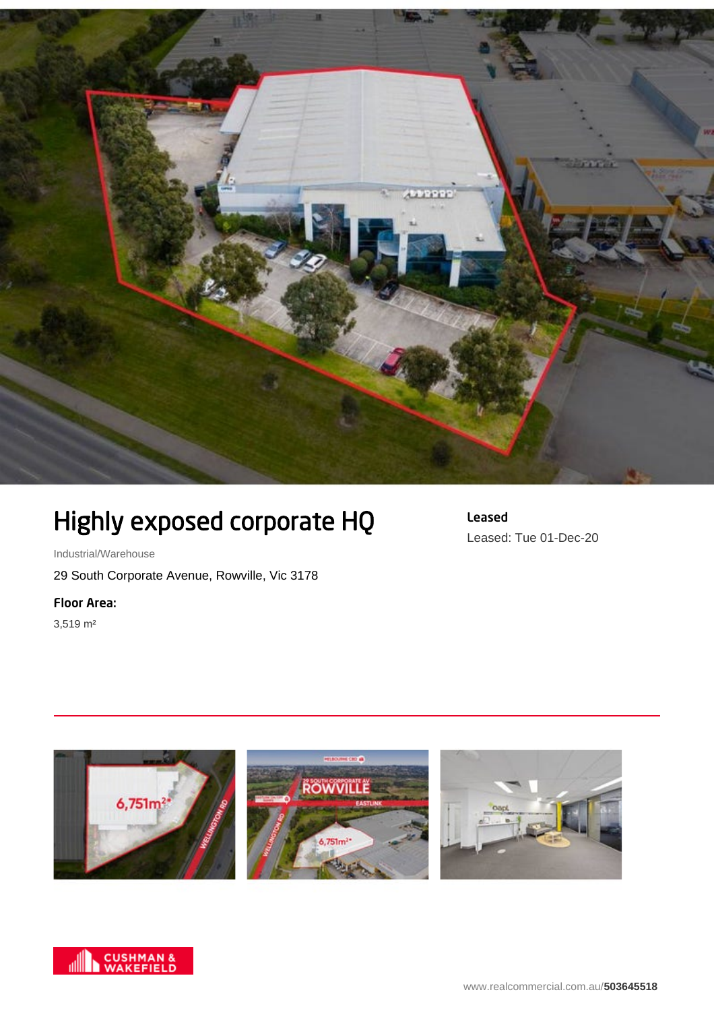

## Highly exposed corporate HQ

Leased Leased: Tue 01-Dec-20

Industrial/Warehouse

29 South Corporate Avenue, Rowville, Vic 3178

Floor Area:

3,519 m²